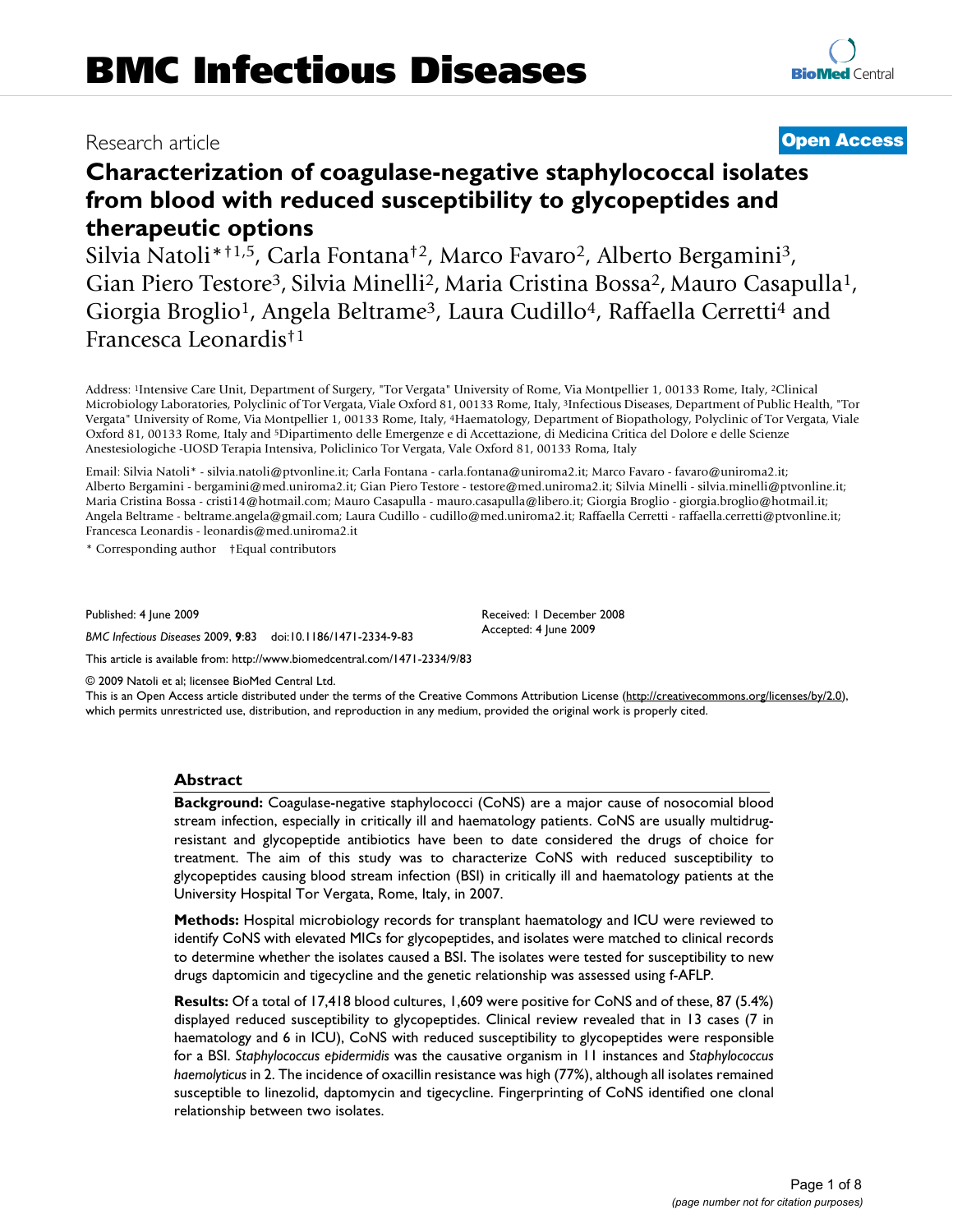## Research article **[Open Access](http://www.biomedcentral.com/info/about/charter/)**

# **Characterization of coagulase-negative staphylococcal isolates from blood with reduced susceptibility to glycopeptides and therapeutic options**

Silvia Natoli\*<sup>†1,5</sup>, Carla Fontana<sup>†2</sup>, Marco Favaro<sup>2</sup>, Alberto Bergamini<sup>3</sup>, Gian Piero Testore<sup>3</sup>, Silvia Minelli<sup>2</sup>, Maria Cristina Bossa<sup>2</sup>, Mauro Casapulla<sup>1</sup>, Giorgia Broglio<sup>1</sup>, Angela Beltrame<sup>3</sup>, Laura Cudillo<sup>4</sup>, Raffaella Cerretti<sup>4</sup> and Francesca Leonardis†1

Address: 1Intensive Care Unit, Department of Surgery, "Tor Vergata" University of Rome, Via Montpellier 1, 00133 Rome, Italy, 2Clinical Microbiology Laboratories, Polyclinic of Tor Vergata, Viale Oxford 81, 00133 Rome, Italy, 3Infectious Diseases, Department of Public Health, "Tor Vergata" University of Rome, Via Montpellier 1, 00133 Rome, Italy, 4Haematology, Department of Biopathology, Polyclinic of Tor Vergata, Viale Oxford 81, 00133 Rome, Italy and 5Dipartimento delle Emergenze e di Accettazione, di Medicina Critica del Dolore e delle Scienze Anestesiologiche -UOSD Terapia Intensiva, Policlinico Tor Vergata, Vale Oxford 81, 00133 Roma, Italy

Email: Silvia Natoli\* - silvia.natoli@ptvonline.it; Carla Fontana - carla.fontana@uniroma2.it; Marco Favaro - favaro@uniroma2.it; Alberto Bergamini - bergamini@med.uniroma2.it; Gian Piero Testore - testore@med.uniroma2.it; Silvia Minelli - silvia.minelli@ptvonline.it; Maria Cristina Bossa - cristi14@hotmail.com; Mauro Casapulla - mauro.casapulla@libero.it; Giorgia Broglio - giorgia.broglio@hotmail.it; Angela Beltrame - beltrame.angela@gmail.com; Laura Cudillo - cudillo@med.uniroma2.it; Raffaella Cerretti - raffaella.cerretti@ptvonline.it; Francesca Leonardis - leonardis@med.uniroma2.it

\* Corresponding author †Equal contributors

Published: 4 June 2009

*BMC Infectious Diseases* 2009, **9**:83 doi:10.1186/1471-2334-9-83

[This article is available from: http://www.biomedcentral.com/1471-2334/9/83](http://www.biomedcentral.com/1471-2334/9/83)

© 2009 Natoli et al; licensee BioMed Central Ltd.

This is an Open Access article distributed under the terms of the Creative Commons Attribution License [\(http://creativecommons.org/licenses/by/2.0\)](http://creativecommons.org/licenses/by/2.0), which permits unrestricted use, distribution, and reproduction in any medium, provided the original work is properly cited.

Received: 1 December 2008 Accepted: 4 June 2009

### **Abstract**

**Background:** Coagulase-negative staphylococci (CoNS) are a major cause of nosocomial blood stream infection, especially in critically ill and haematology patients. CoNS are usually multidrugresistant and glycopeptide antibiotics have been to date considered the drugs of choice for treatment. The aim of this study was to characterize CoNS with reduced susceptibility to glycopeptides causing blood stream infection (BSI) in critically ill and haematology patients at the University Hospital Tor Vergata, Rome, Italy, in 2007.

**Methods:** Hospital microbiology records for transplant haematology and ICU were reviewed to identify CoNS with elevated MICs for glycopeptides, and isolates were matched to clinical records to determine whether the isolates caused a BSI. The isolates were tested for susceptibility to new drugs daptomicin and tigecycline and the genetic relationship was assessed using f-AFLP.

**Results:** Of a total of 17,418 blood cultures, 1,609 were positive for CoNS and of these, 87 (5.4%) displayed reduced susceptibility to glycopeptides. Clinical review revealed that in 13 cases (7 in haematology and 6 in ICU), CoNS with reduced susceptibility to glycopeptides were responsible for a BSI. *Staphylococcus epidermidis* was the causative organism in 11 instances and *Staphylococcus haemolyticus* in 2. The incidence of oxacillin resistance was high (77%), although all isolates remained susceptible to linezolid, daptomycin and tigecycline. Fingerprinting of CoNS identified one clonal relationship between two isolates.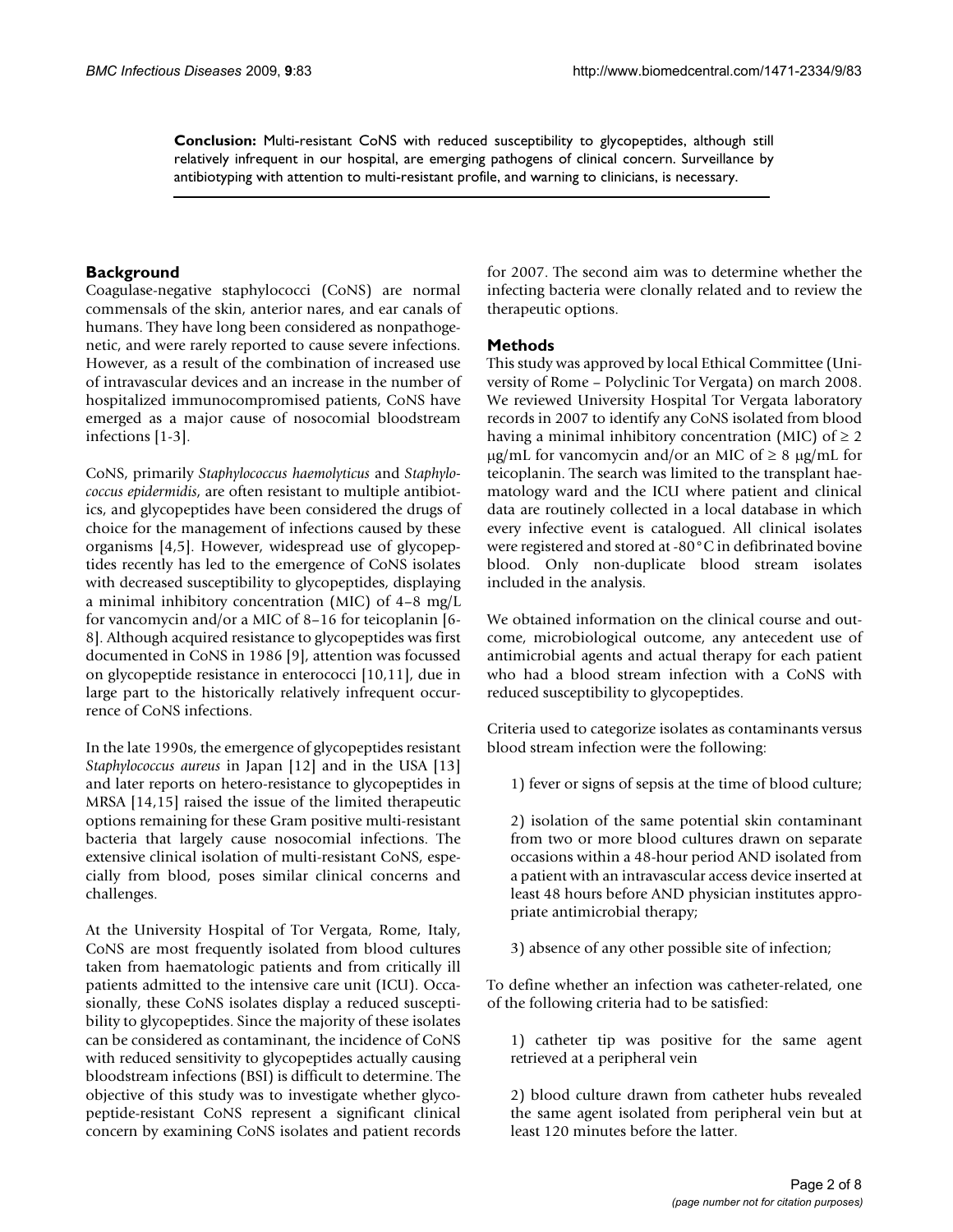**Conclusion:** Multi-resistant CoNS with reduced susceptibility to glycopeptides, although still relatively infrequent in our hospital, are emerging pathogens of clinical concern. Surveillance by antibiotyping with attention to multi-resistant profile, and warning to clinicians, is necessary.

### **Background**

Coagulase-negative staphylococci (CoNS) are normal commensals of the skin, anterior nares, and ear canals of humans. They have long been considered as nonpathogenetic, and were rarely reported to cause severe infections. However, as a result of the combination of increased use of intravascular devices and an increase in the number of hospitalized immunocompromised patients, CoNS have emerged as a major cause of nosocomial bloodstream infections [1-3].

CoNS, primarily *Staphylococcus haemolyticus* and *Staphylococcus epidermidis*, are often resistant to multiple antibiotics, and glycopeptides have been considered the drugs of choice for the management of infections caused by these organisms [4,5]. However, widespread use of glycopeptides recently has led to the emergence of CoNS isolates with decreased susceptibility to glycopeptides, displaying a minimal inhibitory concentration (MIC) of 4–8 mg/L for vancomycin and/or a MIC of 8–16 for teicoplanin [6- 8]. Although acquired resistance to glycopeptides was first documented in CoNS in 1986 [9], attention was focussed on glycopeptide resistance in enterococci [10,11], due in large part to the historically relatively infrequent occurrence of CoNS infections.

In the late 1990s, the emergence of glycopeptides resistant *Staphylococcus aureus* in Japan [12] and in the USA [13] and later reports on hetero-resistance to glycopeptides in MRSA [14,15] raised the issue of the limited therapeutic options remaining for these Gram positive multi-resistant bacteria that largely cause nosocomial infections. The extensive clinical isolation of multi-resistant CoNS, especially from blood, poses similar clinical concerns and challenges.

At the University Hospital of Tor Vergata, Rome, Italy, CoNS are most frequently isolated from blood cultures taken from haematologic patients and from critically ill patients admitted to the intensive care unit (ICU). Occasionally, these CoNS isolates display a reduced susceptibility to glycopeptides. Since the majority of these isolates can be considered as contaminant, the incidence of CoNS with reduced sensitivity to glycopeptides actually causing bloodstream infections (BSI) is difficult to determine. The objective of this study was to investigate whether glycopeptide-resistant CoNS represent a significant clinical concern by examining CoNS isolates and patient records for 2007. The second aim was to determine whether the infecting bacteria were clonally related and to review the therapeutic options.

### **Methods**

This study was approved by local Ethical Committee (University of Rome – Polyclinic Tor Vergata) on march 2008. We reviewed University Hospital Tor Vergata laboratory records in 2007 to identify any CoNS isolated from blood having a minimal inhibitory concentration (MIC) of  $\geq 2$  $\mu$ g/mL for vancomycin and/or an MIC of  $\geq$  8 μg/mL for teicoplanin. The search was limited to the transplant haematology ward and the ICU where patient and clinical data are routinely collected in a local database in which every infective event is catalogued. All clinical isolates were registered and stored at -80°C in defibrinated bovine blood. Only non-duplicate blood stream isolates included in the analysis.

We obtained information on the clinical course and outcome, microbiological outcome, any antecedent use of antimicrobial agents and actual therapy for each patient who had a blood stream infection with a CoNS with reduced susceptibility to glycopeptides.

Criteria used to categorize isolates as contaminants versus blood stream infection were the following:

1) fever or signs of sepsis at the time of blood culture;

2) isolation of the same potential skin contaminant from two or more blood cultures drawn on separate occasions within a 48-hour period AND isolated from a patient with an intravascular access device inserted at least 48 hours before AND physician institutes appropriate antimicrobial therapy;

3) absence of any other possible site of infection;

To define whether an infection was catheter-related, one of the following criteria had to be satisfied:

1) catheter tip was positive for the same agent retrieved at a peripheral vein

2) blood culture drawn from catheter hubs revealed the same agent isolated from peripheral vein but at least 120 minutes before the latter.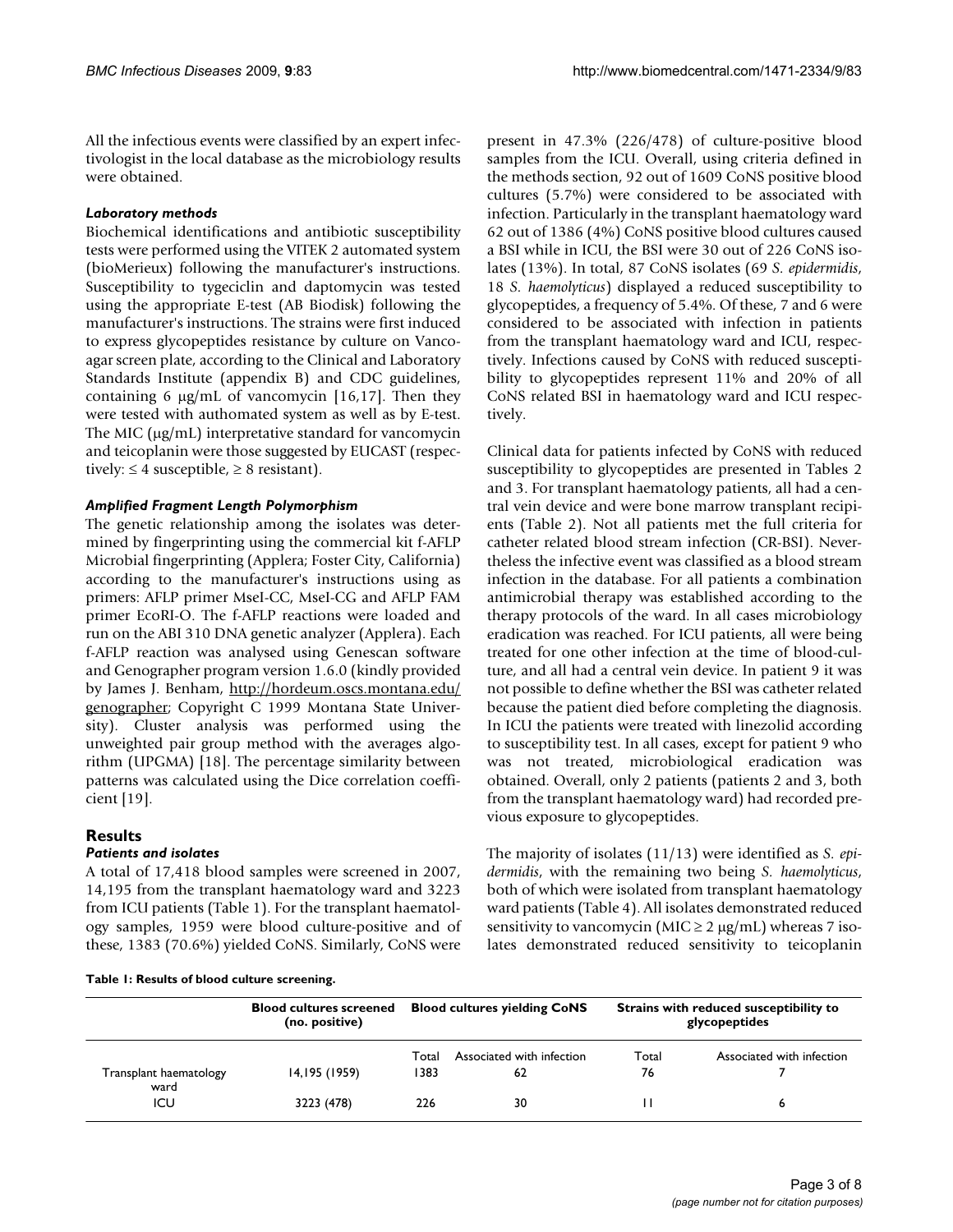All the infectious events were classified by an expert infectivologist in the local database as the microbiology results were obtained.

### *Laboratory methods*

Biochemical identifications and antibiotic susceptibility tests were performed using the VITEK 2 automated system (bioMerieux) following the manufacturer's instructions. Susceptibility to tygeciclin and daptomycin was tested using the appropriate E-test (AB Biodisk) following the manufacturer's instructions. The strains were first induced to express glycopeptides resistance by culture on Vancoagar screen plate, according to the Clinical and Laboratory Standards Institute (appendix B) and CDC guidelines, containing 6 μg/mL of vancomycin [16,17]. Then they were tested with authomated system as well as by E-test. The MIC (μg/mL) interpretative standard for vancomycin and teicoplanin were those suggested by EUCAST (respectively:  $\leq 4$  susceptible,  $\geq 8$  resistant).

### *Amplified Fragment Length Polymorphism*

The genetic relationship among the isolates was determined by fingerprinting using the commercial kit f-AFLP Microbial fingerprinting (Applera; Foster City, California) according to the manufacturer's instructions using as primers: AFLP primer MseI-CC, MseI-CG and AFLP FAM primer EcoRI-O. The f-AFLP reactions were loaded and run on the ABI 310 DNA genetic analyzer (Applera). Each f-AFLP reaction was analysed using Genescan software and Genographer program version 1.6.0 (kindly provided by James J. Benham, [http://hordeum.oscs.montana.edu/](http://hordeum.oscs.montana.edu/genographer) [genographer;](http://hordeum.oscs.montana.edu/genographer) Copyright C 1999 Montana State University). Cluster analysis was performed using the unweighted pair group method with the averages algorithm (UPGMA) [18]. The percentage similarity between patterns was calculated using the Dice correlation coefficient [19].

### **Results**

### *Patients and isolates*

A total of 17,418 blood samples were screened in 2007, 14,195 from the transplant haematology ward and 3223 from ICU patients (Table 1). For the transplant haematology samples, 1959 were blood culture-positive and of these, 1383 (70.6%) yielded CoNS. Similarly, CoNS were

**Table 1: Results of blood culture screening.**

present in 47.3% (226/478) of culture-positive blood samples from the ICU. Overall, using criteria defined in the methods section, 92 out of 1609 CoNS positive blood cultures (5.7%) were considered to be associated with infection. Particularly in the transplant haematology ward 62 out of 1386 (4%) CoNS positive blood cultures caused a BSI while in ICU, the BSI were 30 out of 226 CoNS isolates (13%). In total, 87 CoNS isolates (69 *S. epidermidis*, 18 *S. haemolyticus*) displayed a reduced susceptibility to glycopeptides, a frequency of 5.4%. Of these, 7 and 6 were considered to be associated with infection in patients from the transplant haematology ward and ICU, respectively. Infections caused by CoNS with reduced susceptibility to glycopeptides represent 11% and 20% of all CoNS related BSI in haematology ward and ICU respectively.

Clinical data for patients infected by CoNS with reduced susceptibility to glycopeptides are presented in Tables 2 and 3. For transplant haematology patients, all had a central vein device and were bone marrow transplant recipients (Table 2). Not all patients met the full criteria for catheter related blood stream infection (CR-BSI). Nevertheless the infective event was classified as a blood stream infection in the database. For all patients a combination antimicrobial therapy was established according to the therapy protocols of the ward. In all cases microbiology eradication was reached. For ICU patients, all were being treated for one other infection at the time of blood-culture, and all had a central vein device. In patient 9 it was not possible to define whether the BSI was catheter related because the patient died before completing the diagnosis. In ICU the patients were treated with linezolid according to susceptibility test. In all cases, except for patient 9 who was not treated, microbiological eradication was obtained. Overall, only 2 patients (patients 2 and 3, both from the transplant haematology ward) had recorded previous exposure to glycopeptides.

The majority of isolates (11/13) were identified as *S. epidermidis*, with the remaining two being *S. haemolyticus*, both of which were isolated from transplant haematology ward patients (Table 4). All isolates demonstrated reduced sensitivity to vancomycin (MIC  $\geq$  2  $\mu$ g/mL) whereas 7 isolates demonstrated reduced sensitivity to teicoplanin

|                        | <b>Blood cultures screened</b><br>(no. positive) |               | <b>Blood cultures yielding CoNS</b> | Strains with reduced susceptibility to<br>glycopeptides |                           |  |
|------------------------|--------------------------------------------------|---------------|-------------------------------------|---------------------------------------------------------|---------------------------|--|
| Transplant haematology | 14,195 (1959)                                    | Total<br>1383 | Associated with infection<br>62     | Total<br>76                                             | Associated with infection |  |
| ward<br>ICU            | 3223 (478)                                       | 226           | 30                                  | Ħ                                                       |                           |  |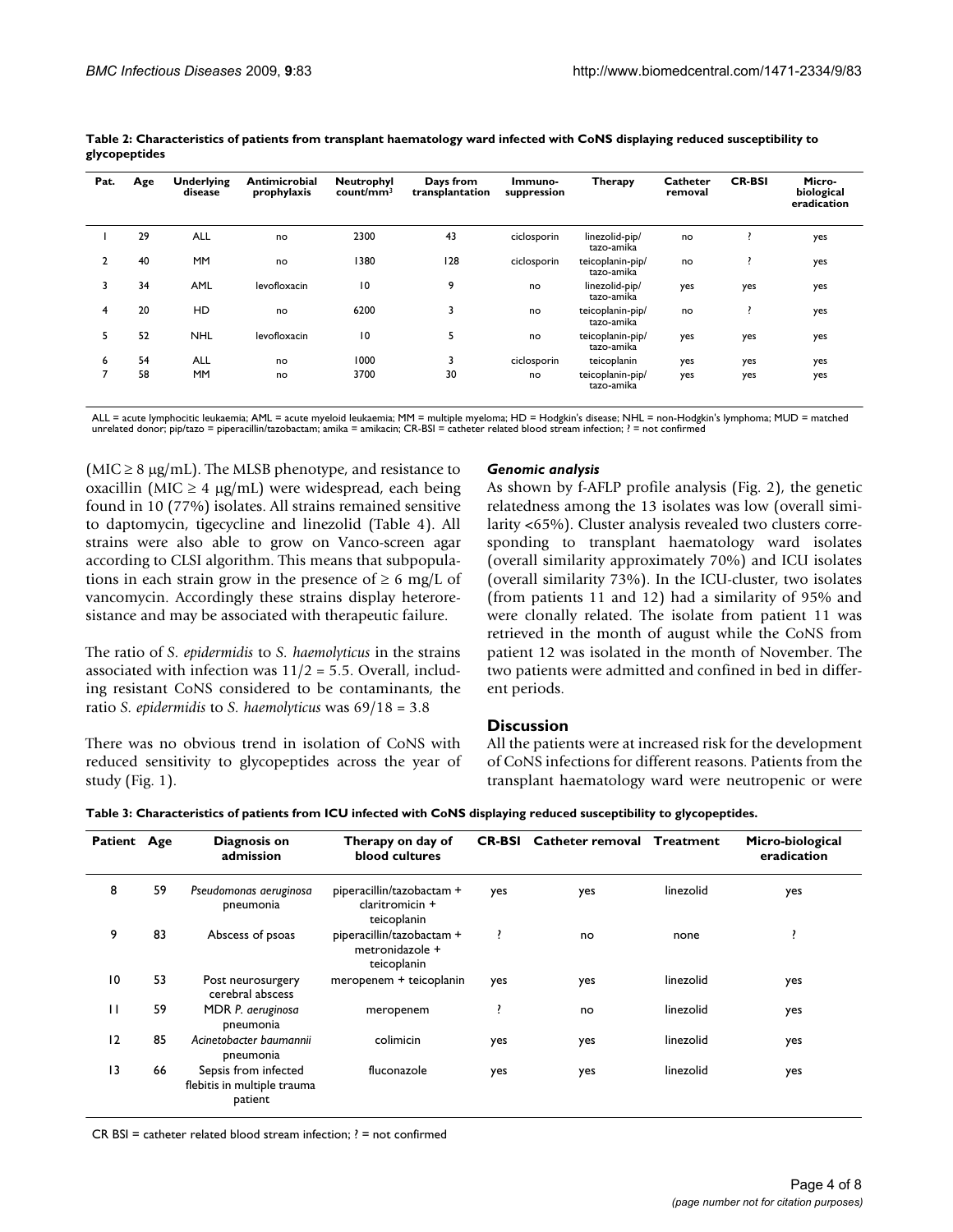| Pat. | Age | Underlying<br>disease | Antimicrobial<br>prophylaxis | Neutrophyl<br>$count/mm^3$ | Days from<br>transplantation | Immuno-<br>suppression | Therapy                        | Catheter<br>removal | <b>CR-BSI</b> | Micro-<br>biological<br>eradication |
|------|-----|-----------------------|------------------------------|----------------------------|------------------------------|------------------------|--------------------------------|---------------------|---------------|-------------------------------------|
|      | 29  | <b>ALL</b>            | no                           | 2300                       | 43                           | ciclosporin            | linezolid-pip/<br>tazo-amika   | no                  |               | yes                                 |
| 2    | 40  | <b>MM</b>             | no                           | 1380                       | 128                          | ciclosporin            | teicoplanin-pip/<br>tazo-amika | no                  |               | yes                                 |
| 3    | 34  | AML                   | levofloxacin                 | $\overline{10}$            | 9                            | no                     | linezolid-pip/<br>tazo-amika   | yes                 | yes           | yes                                 |
| 4    | 20  | HD                    | no                           | 6200                       | 3                            | no                     | teicoplanin-pip/<br>tazo-amika | no                  |               | yes                                 |
| 5    | 52  | <b>NHL</b>            | levofloxacin                 | 10                         | 5                            | no                     | teicoplanin-pip/<br>tazo-amika | yes                 | yes           | yes                                 |
| 6    | 54  | <b>ALL</b>            | no                           | 1000                       | 3                            | ciclosporin            | teicoplanin                    | yes                 | yes           | yes                                 |
|      | 58  | <b>MM</b>             | no                           | 3700                       | 30                           | no                     | teicoplanin-pip/<br>tazo-amika | yes                 | yes           | yes                                 |

**Table 2: Characteristics of patients from transplant haematology ward infected with CoNS displaying reduced susceptibility to glycopeptides**

ALL = acute lymphocitic leukaemia; AML = acute myeloid leukaemia; MM = multiple myeloma; HD = Hodgkin's disease; NHL = non-Hodgkin's lymphoma; MUD = matched unrelated donor; pip/tazo = piperacillin/tazobactam; amika = amikacin; CR-BSI = catheter related blood stream infection; ? = not confirmed

(MIC  $\geq$  8 µg/mL). The MLSB phenotype, and resistance to oxacillin (MIC  $\geq$  4 µg/mL) were widespread, each being found in 10 (77%) isolates. All strains remained sensitive to daptomycin, tigecycline and linezolid (Table 4). All strains were also able to grow on Vanco-screen agar according to CLSI algorithm. This means that subpopulations in each strain grow in the presence of  $\geq 6$  mg/L of vancomycin. Accordingly these strains display heteroresistance and may be associated with therapeutic failure.

The ratio of *S. epidermidis* to *S. haemolyticus* in the strains associated with infection was  $11/2 = 5.5$ . Overall, including resistant CoNS considered to be contaminants, the ratio *S. epidermidis* to *S. haemolyticus* was 69/18 = 3.8

There was no obvious trend in isolation of CoNS with reduced sensitivity to glycopeptides across the year of study (Fig. 1).

### *Genomic analysis*

As shown by f-AFLP profile analysis (Fig. 2), the genetic relatedness among the 13 isolates was low (overall similarity <65%). Cluster analysis revealed two clusters corresponding to transplant haematology ward isolates (overall similarity approximately 70%) and ICU isolates (overall similarity 73%). In the ICU-cluster, two isolates (from patients 11 and 12) had a similarity of 95% and were clonally related. The isolate from patient 11 was retrieved in the month of august while the CoNS from patient 12 was isolated in the month of November. The two patients were admitted and confined in bed in different periods.

### **Discussion**

All the patients were at increased risk for the development of CoNS infections for different reasons. Patients from the transplant haematology ward were neutropenic or were

| Table 3: Characteristics of patients from ICU infected with CoNS displaying reduced susceptibility to glycopeptides. |  |  |  |
|----------------------------------------------------------------------------------------------------------------------|--|--|--|
|                                                                                                                      |  |  |  |

| Patient Age  |    | Diagnosis on<br>admission                                      | Therapy on day of<br>blood cultures                         | <b>CR-BSI</b> | Catheter removal Treatment |           | Micro-biological<br>eradication |
|--------------|----|----------------------------------------------------------------|-------------------------------------------------------------|---------------|----------------------------|-----------|---------------------------------|
| 8            | 59 | Pseudomonas aeruginosa<br>pneumonia                            | piperacillin/tazobactam +<br>claritromicin +<br>teicoplanin | yes           | yes                        | linezolid | yes                             |
| 9            | 83 | Abscess of psoas                                               | piperacillin/tazobactam +<br>metronidazole +<br>teicoplanin | ŗ             | no                         | none      | ŗ                               |
| 10           | 53 | Post neurosurgery<br>cerebral abscess                          | meropenem + teicoplanin                                     | yes           | yes                        | linezolid | yes                             |
| $\mathsf{I}$ | 59 | MDR P. aeruginosa<br>pneumonia                                 | meropenem                                                   |               | no                         | linezolid | yes                             |
| 12           | 85 | Acinetobacter baumannii<br>pneumonia                           | colimicin                                                   | yes           | yes                        | linezolid | yes                             |
| 13           | 66 | Sepsis from infected<br>flebitis in multiple trauma<br>patient | fluconazole                                                 | yes           | yes                        | linezolid | yes                             |

CR BSI = catheter related blood stream infection; ? = not confirmed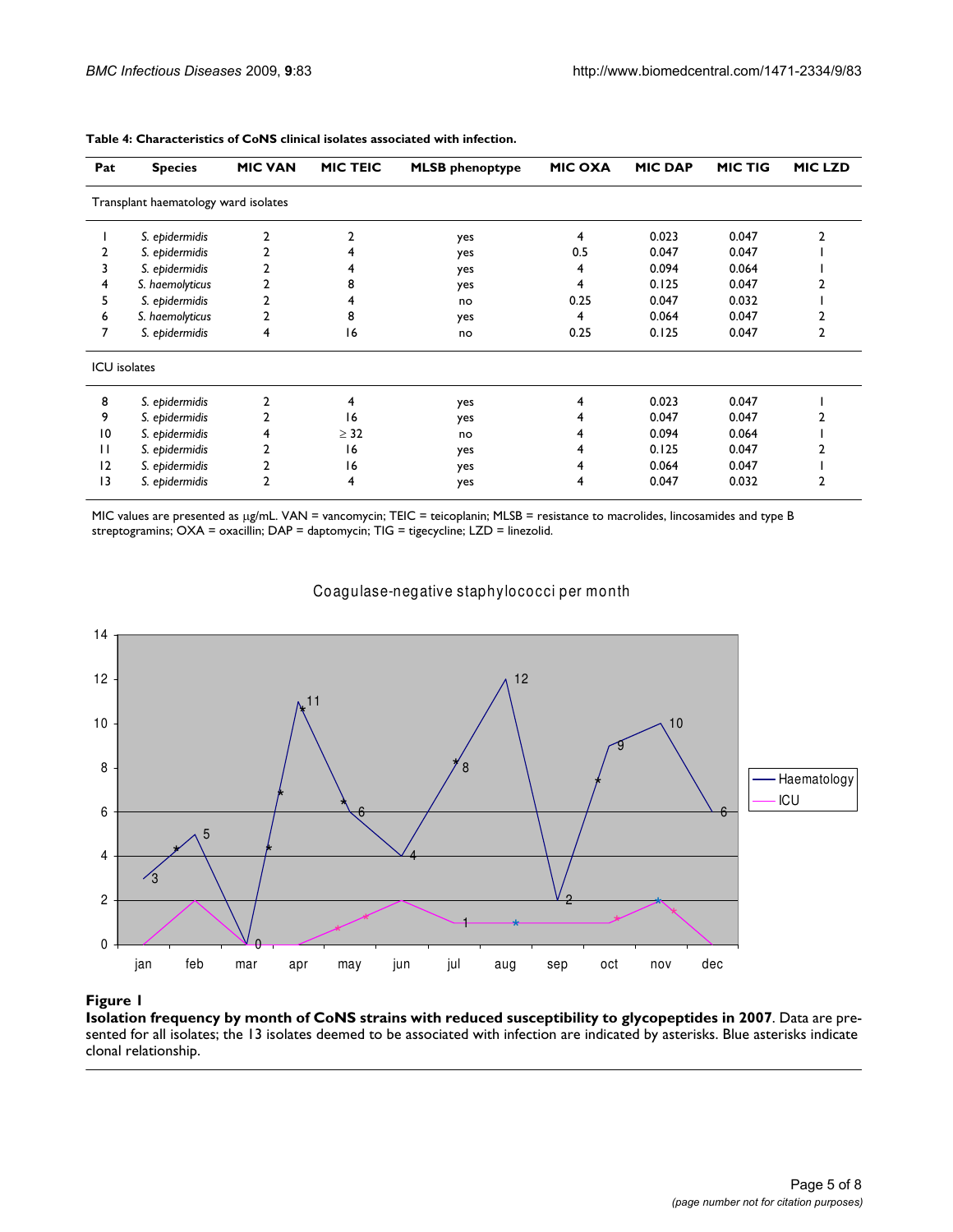| Pat             | <b>Species</b>                       | <b>MIC VAN</b> | <b>MIC TEIC</b> | <b>MLSB</b> phenoptype | <b>MIC OXA</b> | <b>MIC DAP</b> | <b>MIC TIG</b> | <b>MIC LZD</b> |
|-----------------|--------------------------------------|----------------|-----------------|------------------------|----------------|----------------|----------------|----------------|
|                 | Transplant haematology ward isolates |                |                 |                        |                |                |                |                |
|                 | S. epidermidis                       | 2              |                 | yes                    | 4              | 0.023          | 0.047          |                |
|                 | S. epidermidis                       |                |                 | yes                    | 0.5            | 0.047          | 0.047          |                |
| 3               | S. epidermidis                       |                |                 | yes                    | 4              | 0.094          | 0.064          |                |
| 4               | S. haemolyticus                      |                | 8               | yes                    | 4              | 0.125          | 0.047          |                |
| 5.              | S. epidermidis                       |                |                 | no                     | 0.25           | 0.047          | 0.032          |                |
| 6               | S. haemolyticus                      |                | 8               | yes                    | 4              | 0.064          | 0.047          |                |
| 7               | S. epidermidis                       | 4              | 16              | no                     | 0.25           | 0.125          | 0.047          |                |
| ICU isolates    |                                      |                |                 |                        |                |                |                |                |
| 8               | S. epidermidis                       | 2              | 4               | yes                    | 4              | 0.023          | 0.047          |                |
| 9               | S. epidermidis                       |                | 16              | yes                    |                | 0.047          | 0.047          |                |
| 10              | S. epidermidis                       |                | $\geq$ 32       | no                     |                | 0.094          | 0.064          |                |
| п               | S. epidermidis                       |                | 16              | yes                    |                | 0.125          | 0.047          |                |
| 12              | S. epidermidis                       |                | 16              | yes                    | 4              | 0.064          | 0.047          |                |
| $\overline{13}$ | S. epidermidis                       | 2              | 4               | yes                    | 4              | 0.047          | 0.032          |                |

#### **Table 4: Characteristics of CoNS clinical isolates associated with infection.**

MIC values are presented as μg/mL. VAN = vancomycin; TEIC = teicoplanin; MLSB = resistance to macrolides, lincosamides and type B streptogramins; OXA = oxacillin; DAP = daptomycin; TIG = tigecycline; LZD = linezolid.



### Coagulase-negative staphylococci per month

#### Isolation frequency by month of CoNS strains wi **Figure 1** th reduced susceptibility to glycopeptides in 2007

**Isolation frequency by month of CoNS strains with reduced susceptibility to glycopeptides in 2007**. Data are presented for all isolates; the 13 isolates deemed to be associated with infection are indicated by asterisks. Blue asterisks indicate clonal relationship.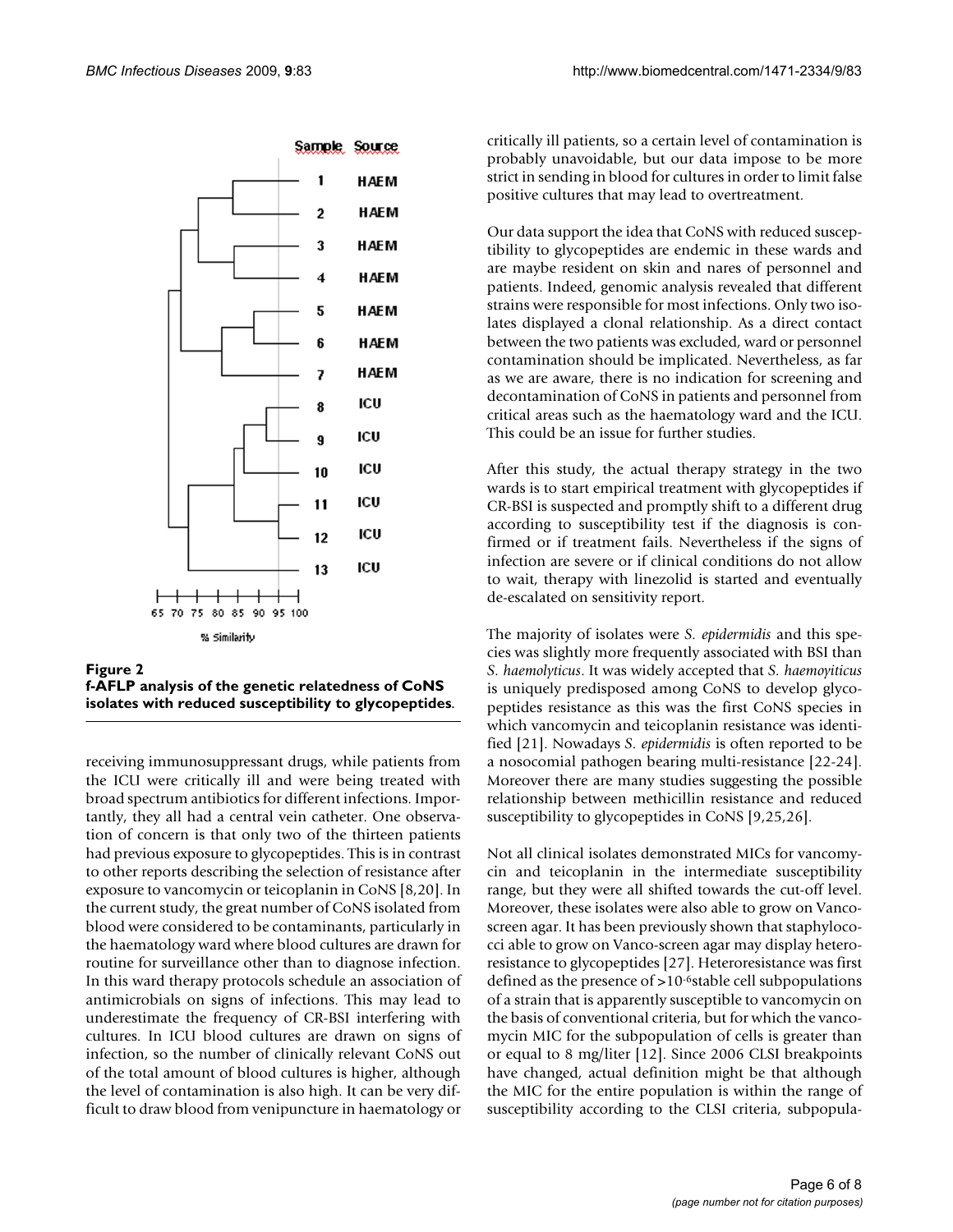



receiving immunosuppressant drugs, while patients from the ICU were critically ill and were being treated with broad spectrum antibiotics for different infections. Importantly, they all had a central vein catheter. One observation of concern is that only two of the thirteen patients had previous exposure to glycopeptides. This is in contrast to other reports describing the selection of resistance after exposure to vancomycin or teicoplanin in CoNS [8,20]. In the current study, the great number of CoNS isolated from blood were considered to be contaminants, particularly in the haematology ward where blood cultures are drawn for routine for surveillance other than to diagnose infection. In this ward therapy protocols schedule an association of antimicrobials on signs of infections. This may lead to underestimate the frequency of CR-BSI interfering with cultures. In ICU blood cultures are drawn on signs of infection, so the number of clinically relevant CoNS out of the total amount of blood cultures is higher, although the level of contamination is also high. It can be very difficult to draw blood from venipuncture in haematology or critically ill patients, so a certain level of contamination is probably unavoidable, but our data impose to be more strict in sending in blood for cultures in order to limit false positive cultures that may lead to overtreatment.

Our data support the idea that CoNS with reduced susceptibility to glycopeptides are endemic in these wards and are maybe resident on skin and nares of personnel and patients. Indeed, genomic analysis revealed that different strains were responsible for most infections. Only two isolates displayed a clonal relationship. As a direct contact between the two patients was excluded, ward or personnel contamination should be implicated. Nevertheless, as far as we are aware, there is no indication for screening and decontamination of CoNS in patients and personnel from critical areas such as the haematology ward and the ICU. This could be an issue for further studies.

After this study, the actual therapy strategy in the two wards is to start empirical treatment with glycopeptides if CR-BSI is suspected and promptly shift to a different drug according to susceptibility test if the diagnosis is confirmed or if treatment fails. Nevertheless if the signs of infection are severe or if clinical conditions do not allow to wait, therapy with linezolid is started and eventually de-escalated on sensitivity report.

The majority of isolates were *S. epidermidis* and this species was slightly more frequently associated with BSI than *S. haemolyticus*. It was widely accepted that *S. haemoyiticus* is uniquely predisposed among CoNS to develop glycopeptides resistance as this was the first CoNS species in which vancomycin and teicoplanin resistance was identified [21]. Nowadays *S. epidermidis* is often reported to be a nosocomial pathogen bearing multi-resistance [22-24]. Moreover there are many studies suggesting the possible relationship between methicillin resistance and reduced susceptibility to glycopeptides in CoNS [9,25,26].

Not all clinical isolates demonstrated MICs for vancomycin and teicoplanin in the intermediate susceptibility range, but they were all shifted towards the cut-off level. Moreover, these isolates were also able to grow on Vancoscreen agar. It has been previously shown that staphylococci able to grow on Vanco-screen agar may display heteroresistance to glycopeptides [27]. Heteroresistance was first defined as the presence of >10-6stable cell subpopulations of a strain that is apparently susceptible to vancomycin on the basis of conventional criteria, but for which the vancomycin MIC for the subpopulation of cells is greater than or equal to 8 mg/liter [12]. Since 2006 CLSI breakpoints have changed, actual definition might be that although the MIC for the entire population is within the range of susceptibility according to the CLSI criteria, subpopula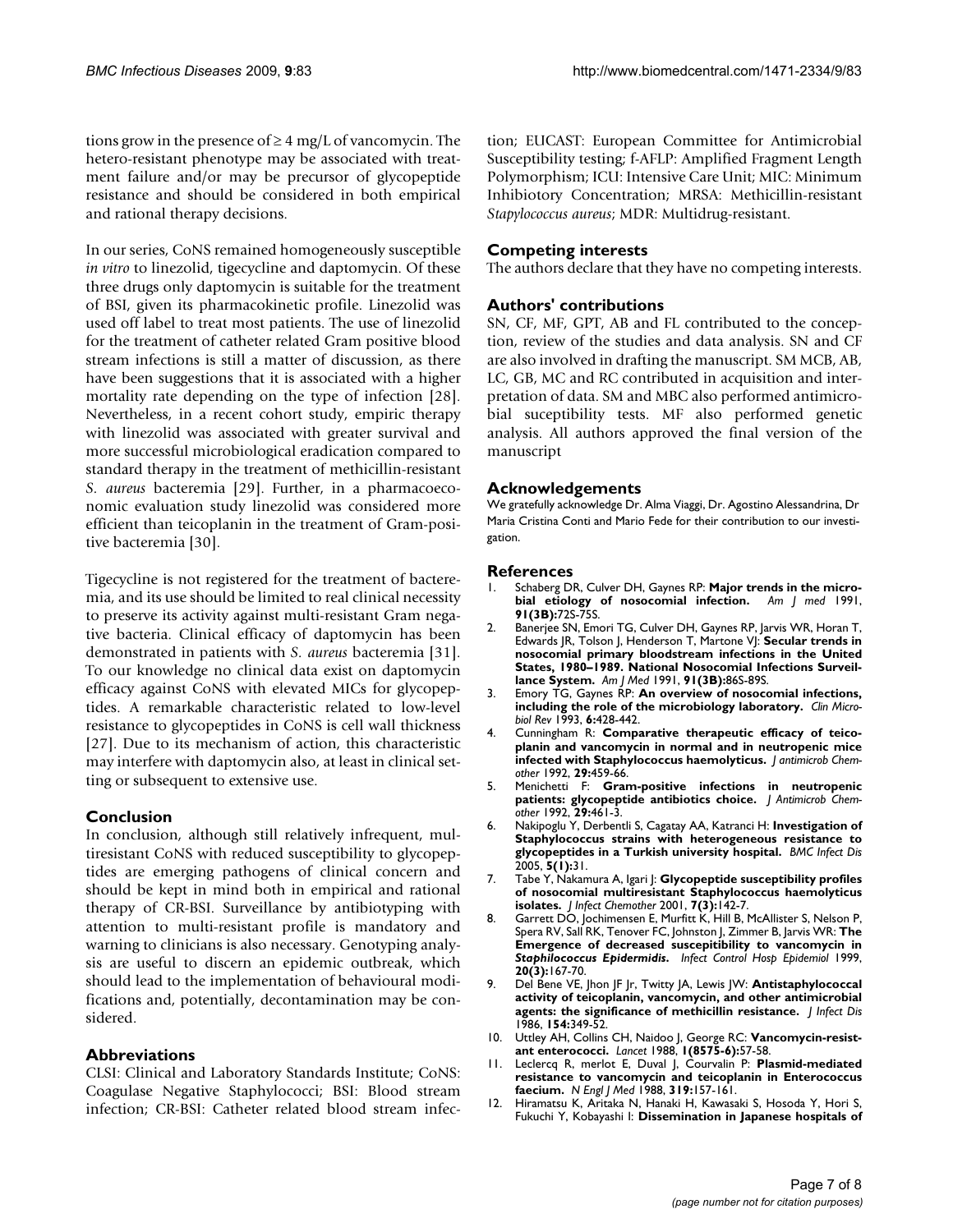tions grow in the presence of  $\geq 4$  mg/L of vancomycin. The hetero-resistant phenotype may be associated with treatment failure and/or may be precursor of glycopeptide resistance and should be considered in both empirical and rational therapy decisions.

In our series, CoNS remained homogeneously susceptible *in vitro* to linezolid, tigecycline and daptomycin. Of these three drugs only daptomycin is suitable for the treatment of BSI, given its pharmacokinetic profile. Linezolid was used off label to treat most patients. The use of linezolid for the treatment of catheter related Gram positive blood stream infections is still a matter of discussion, as there have been suggestions that it is associated with a higher mortality rate depending on the type of infection [28]. Nevertheless, in a recent cohort study, empiric therapy with linezolid was associated with greater survival and more successful microbiological eradication compared to standard therapy in the treatment of methicillin-resistant *S. aureus* bacteremia [29]. Further, in a pharmacoeconomic evaluation study linezolid was considered more efficient than teicoplanin in the treatment of Gram-positive bacteremia [30].

Tigecycline is not registered for the treatment of bacteremia, and its use should be limited to real clinical necessity to preserve its activity against multi-resistant Gram negative bacteria. Clinical efficacy of daptomycin has been demonstrated in patients with *S. aureus* bacteremia [31]. To our knowledge no clinical data exist on daptomycin efficacy against CoNS with elevated MICs for glycopeptides. A remarkable characteristic related to low-level resistance to glycopeptides in CoNS is cell wall thickness [27]. Due to its mechanism of action, this characteristic may interfere with daptomycin also, at least in clinical setting or subsequent to extensive use.

### **Conclusion**

In conclusion, although still relatively infrequent, multiresistant CoNS with reduced susceptibility to glycopeptides are emerging pathogens of clinical concern and should be kept in mind both in empirical and rational therapy of CR-BSI. Surveillance by antibiotyping with attention to multi-resistant profile is mandatory and warning to clinicians is also necessary. Genotyping analysis are useful to discern an epidemic outbreak, which should lead to the implementation of behavioural modifications and, potentially, decontamination may be considered.

### **Abbreviations**

CLSI: Clinical and Laboratory Standards Institute; CoNS: Coagulase Negative Staphylococci; BSI: Blood stream infection; CR-BSI: Catheter related blood stream infection; EUCAST: European Committee for Antimicrobial Susceptibility testing; f-AFLP: Amplified Fragment Length Polymorphism; ICU: Intensive Care Unit; MIC: Minimum Inhibiotory Concentration; MRSA: Methicillin-resistant *Stapylococcus aureus*; MDR: Multidrug-resistant.

### **Competing interests**

The authors declare that they have no competing interests.

### **Authors' contributions**

SN, CF, MF, GPT, AB and FL contributed to the conception, review of the studies and data analysis. SN and CF are also involved in drafting the manuscript. SM MCB, AB, LC, GB, MC and RC contributed in acquisition and interpretation of data. SM and MBC also performed antimicrobial suceptibility tests. MF also performed genetic analysis. All authors approved the final version of the manuscript

### **Acknowledgements**

We gratefully acknowledge Dr. Alma Viaggi, Dr. Agostino Alessandrina, Dr Maria Cristina Conti and Mario Fede for their contribution to our investigation.

### **References**

- Schaberg DR, Culver DH, Gaynes RP: [Major trends in the micro](http://www.ncbi.nlm.nih.gov/entrez/query.fcgi?cmd=Retrieve&db=PubMed&dopt=Abstract&list_uids=1928195)**[bial etiology of nosocomial infection.](http://www.ncbi.nlm.nih.gov/entrez/query.fcgi?cmd=Retrieve&db=PubMed&dopt=Abstract&list_uids=1928195)** *Am J med* 1991, **91(3B):**72S-75S.
- 2. Banerjee SN, Emori TG, Culver DH, Gaynes RP, Jarvis WR, Horan T, Edwards JR, Tolson J, Henderson T, Martone VJ: **[Secular trends in](http://www.ncbi.nlm.nih.gov/entrez/query.fcgi?cmd=Retrieve&db=PubMed&dopt=Abstract&list_uids=1928197) [nosocomial primary bloodstream infections in the United](http://www.ncbi.nlm.nih.gov/entrez/query.fcgi?cmd=Retrieve&db=PubMed&dopt=Abstract&list_uids=1928197) States, 1980–1989. National Nosocomial Infections Surveil[lance System.](http://www.ncbi.nlm.nih.gov/entrez/query.fcgi?cmd=Retrieve&db=PubMed&dopt=Abstract&list_uids=1928197)** *Am J Med* 1991, **91(3B):**86S-89S.
- 3. Emory TG, Gaynes RP: **[An overview of nosocomial infections,](http://www.ncbi.nlm.nih.gov/entrez/query.fcgi?cmd=Retrieve&db=PubMed&dopt=Abstract&list_uids=8269394) [including the role of the microbiology laboratory.](http://www.ncbi.nlm.nih.gov/entrez/query.fcgi?cmd=Retrieve&db=PubMed&dopt=Abstract&list_uids=8269394)** *Clin Microbiol Rev* 1993, **6:**428-442.
- 4. Cunningham R: **[Comparative therapeutic efficacy of teico](http://www.ncbi.nlm.nih.gov/entrez/query.fcgi?cmd=Retrieve&db=PubMed&dopt=Abstract&list_uids=1535069)[planin and vancomycin in normal and in neutropenic mice](http://www.ncbi.nlm.nih.gov/entrez/query.fcgi?cmd=Retrieve&db=PubMed&dopt=Abstract&list_uids=1535069) [infected with Staphylococcus haemolyticus.](http://www.ncbi.nlm.nih.gov/entrez/query.fcgi?cmd=Retrieve&db=PubMed&dopt=Abstract&list_uids=1535069)** *J antimicrob Chemother* 1992, **29:**459-66.
- 5. Menichetti F: **[Gram-positive infections in neutropenic](http://www.ncbi.nlm.nih.gov/entrez/query.fcgi?cmd=Retrieve&db=PubMed&dopt=Abstract&list_uids=1535070) [patients: glycopeptide antibiotics choice.](http://www.ncbi.nlm.nih.gov/entrez/query.fcgi?cmd=Retrieve&db=PubMed&dopt=Abstract&list_uids=1535070)** *J Antimicrob Chemother* 1992, **29:**461-3.
- 6. Nakipoglu Y, Derbentli S, Cagatay AA, Katranci H: **[Investigation of](http://www.ncbi.nlm.nih.gov/entrez/query.fcgi?cmd=Retrieve&db=PubMed&dopt=Abstract&list_uids=15871748) [Staphylococcus strains with heterogeneous resistance to](http://www.ncbi.nlm.nih.gov/entrez/query.fcgi?cmd=Retrieve&db=PubMed&dopt=Abstract&list_uids=15871748) [glycopeptides in a Turkish university hospital.](http://www.ncbi.nlm.nih.gov/entrez/query.fcgi?cmd=Retrieve&db=PubMed&dopt=Abstract&list_uids=15871748)** *BMC Infect Dis* 2005, **5(1):**31.
- 7. Tabe Y, Nakamura A, Igari J: **[Glycopeptide susceptibility profiles](http://www.ncbi.nlm.nih.gov/entrez/query.fcgi?cmd=Retrieve&db=PubMed&dopt=Abstract&list_uids=11810575) [of nosocomial multiresistant Staphylococcus haemolyticus](http://www.ncbi.nlm.nih.gov/entrez/query.fcgi?cmd=Retrieve&db=PubMed&dopt=Abstract&list_uids=11810575) [isolates.](http://www.ncbi.nlm.nih.gov/entrez/query.fcgi?cmd=Retrieve&db=PubMed&dopt=Abstract&list_uids=11810575)** *J Infect Chemother* 2001, **7(3):**142-7.
- 8. Garrett DO, Jochimensen E, Murfitt K, Hill B, McAllister S, Nelson P, Spera RV, Sall RK, Tenover FC, Johnston J, Zimmer B, Jarvis WR: **The Emergence of decreased suscepitibility to vancomycin in** *Staphilococcus Epidermidis***[.](http://www.ncbi.nlm.nih.gov/entrez/query.fcgi?cmd=Retrieve&db=PubMed&dopt=Abstract&list_uids=10100541)** *Infect Control Hosp Epidemiol* 1999, **20(3):**167-70.
- 9. Del Bene VE, Jhon JF Jr, Twitty JA, Lewis JW: **[Antistaphylococcal](http://www.ncbi.nlm.nih.gov/entrez/query.fcgi?cmd=Retrieve&db=PubMed&dopt=Abstract&list_uids=2941491) [activity of teicoplanin, vancomycin, and other antimicrobial](http://www.ncbi.nlm.nih.gov/entrez/query.fcgi?cmd=Retrieve&db=PubMed&dopt=Abstract&list_uids=2941491) [agents: the significance of methicillin resistance.](http://www.ncbi.nlm.nih.gov/entrez/query.fcgi?cmd=Retrieve&db=PubMed&dopt=Abstract&list_uids=2941491)** *J Infect Dis* 1986, **154:**349-52.
- 10. Uttley AH, Collins CH, Naidoo J, George RC: **[Vancomycin-resist](http://www.ncbi.nlm.nih.gov/entrez/query.fcgi?cmd=Retrieve&db=PubMed&dopt=Abstract&list_uids=2891921)[ant enterococci.](http://www.ncbi.nlm.nih.gov/entrez/query.fcgi?cmd=Retrieve&db=PubMed&dopt=Abstract&list_uids=2891921)** *Lancet* 1988, **1(8575-6):**57-58.
- 11. Leclercq R, merlot E, Duval J, Courvalin P: **[Plasmid-mediated](http://www.ncbi.nlm.nih.gov/entrez/query.fcgi?cmd=Retrieve&db=PubMed&dopt=Abstract&list_uids=2968517) [resistance to vancomycin and teicoplanin in Enterococcus](http://www.ncbi.nlm.nih.gov/entrez/query.fcgi?cmd=Retrieve&db=PubMed&dopt=Abstract&list_uids=2968517) [faecium.](http://www.ncbi.nlm.nih.gov/entrez/query.fcgi?cmd=Retrieve&db=PubMed&dopt=Abstract&list_uids=2968517)** *N Engl J Med* 1988, **319:**157-161.
- 12. Hiramatsu K, Aritaka N, Hanaki H, Kawasaki S, Hosoda Y, Hori S, Fukuchi Y, Kobayashi I: **[Dissemination in Japanese hospitals of](http://www.ncbi.nlm.nih.gov/entrez/query.fcgi?cmd=Retrieve&db=PubMed&dopt=Abstract&list_uids=9400512)**